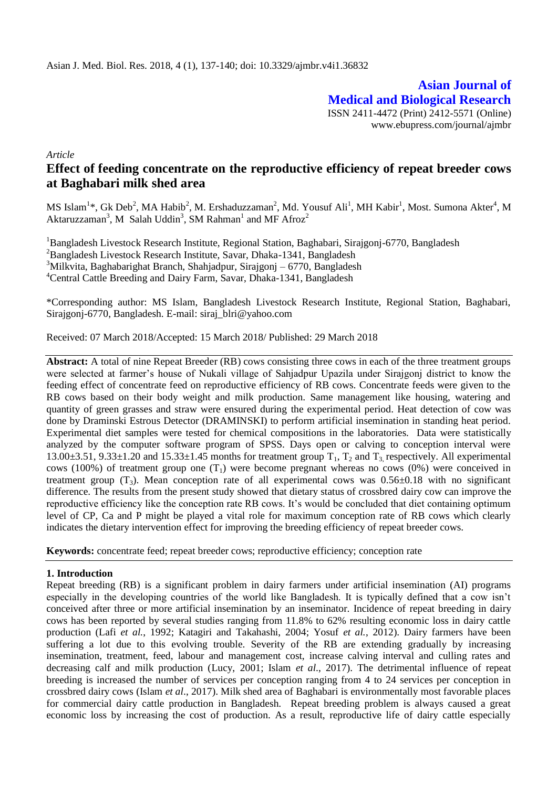**Asian Journal of Medical and Biological Research** ISSN 2411-4472 (Print) 2412-5571 (Online) www.ebupress.com/journal/ajmbr

*Article*

# **Effect of feeding concentrate on the reproductive efficiency of repeat breeder cows at Baghabari milk shed area**

MS Islam<sup>1\*</sup>, Gk Deb<sup>2</sup>, MA Habib<sup>2</sup>, M. Ershaduzzaman<sup>2</sup>, Md. Yousuf Ali<sup>1</sup>, MH Kabir<sup>1</sup>, Most. Sumona Akter<sup>4</sup>, M Aktaruzzaman<sup>3</sup>, M Salah Uddin<sup>3</sup>, SM Rahman<sup>1</sup> and MF Afroz<sup>2</sup>

<sup>1</sup>Bangladesh Livestock Research Institute, Regional Station, Baghabari, Sirajgoni-6770, Bangladesh <sup>2</sup>Bangladesh Livestock Research Institute, Savar, Dhaka-1341, Bangladesh  $3$ Milkvita, Baghabarighat Branch, Shahjadpur, Sirajgonj – 6770, Bangladesh <sup>4</sup>Central Cattle Breeding and Dairy Farm, Savar, Dhaka-1341, Bangladesh

\*Corresponding author: MS Islam, Bangladesh Livestock Research Institute, Regional Station, Baghabari, Sirajgonj-6770, Bangladesh. E-mail: siraj\_blri@yahoo.com

Received: 07 March 2018/Accepted: 15 March 2018/ Published: 29 March 2018

**Abstract:** A total of nine Repeat Breeder (RB) cows consisting three cows in each of the three treatment groups were selected at farmer's house of Nukali village of Sahjadpur Upazila under Sirajgonj district to know the feeding effect of concentrate feed on reproductive efficiency of RB cows. Concentrate feeds were given to the RB cows based on their body weight and milk production. Same management like housing, watering and quantity of green grasses and straw were ensured during the experimental period. Heat detection of cow was done by Draminski Estrous Detector (DRAMINSKI) to perform artificial insemination in standing heat period. Experimental diet samples were tested for chemical compositions in the laboratories. Data were statistically analyzed by the computer software program of SPSS. Days open or calving to conception interval were 13.00 $\pm$ 3.51, 9.33 $\pm$ 1.20 and 15.33 $\pm$ 1.45 months for treatment group  $T_1$ ,  $T_2$  and  $T_3$  respectively. All experimental cows (100%) of treatment group one  $(T_1)$  were become pregnant whereas no cows (0%) were conceived in treatment group  $(T_3)$ . Mean conception rate of all experimental cows was  $0.56\pm0.18$  with no significant difference. The results from the present study showed that dietary status of crossbred dairy cow can improve the reproductive efficiency like the conception rate RB cows. It's would be concluded that diet containing optimum level of CP, Ca and P might be played a vital role for maximum conception rate of RB cows which clearly indicates the dietary intervention effect for improving the breeding efficiency of repeat breeder cows.

**Keywords:** concentrate feed; repeat breeder cows; reproductive efficiency; conception rate

## **1. Introduction**

Repeat breeding (RB) is a significant problem in dairy farmers under artificial insemination (AI) programs especially in the developing countries of the world like Bangladesh. It is typically defined that a cow isn't conceived after three or more artificial insemination by an inseminator. Incidence of repeat breeding in dairy cows has been reported by several studies ranging from 11.8% to 62% resulting economic loss in dairy cattle production (Lafi *et al.*, 1992; Katagiri and Takahashi, 2004; Yosuf *et al.*, 2012). Dairy farmers have been suffering a lot due to this evolving trouble. Severity of the RB are extending gradually by increasing insemination, treatment, feed, labour and management cost, increase calving interval and culling rates and decreasing calf and milk production (Lucy, 2001; Islam *et al*., 2017). The detrimental influence of repeat breeding is increased the number of services per conception ranging from 4 to 24 services per conception in crossbred dairy cows (Islam *et al*., 2017). Milk shed area of Baghabari is environmentally most favorable places for commercial dairy cattle production in Bangladesh. Repeat breeding problem is always caused a great economic loss by increasing the cost of production. As a result, reproductive life of dairy cattle especially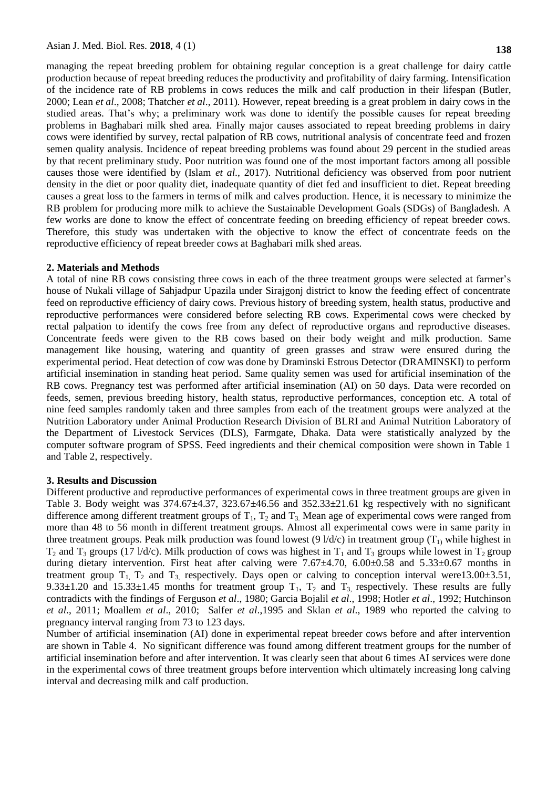managing the repeat breeding problem for obtaining regular conception is a great challenge for dairy cattle production because of repeat breeding reduces the productivity and profitability of dairy farming. Intensification of the incidence rate of RB problems in cows reduces the milk and calf production in their lifespan (Butler, 2000; Lean *et al*., 2008; Thatcher *et al*., 2011). However, repeat breeding is a great problem in dairy cows in the studied areas. That's why; a preliminary work was done to identify the possible causes for repeat breeding problems in Baghabari milk shed area. Finally major causes associated to repeat breeding problems in dairy cows were identified by survey, rectal palpation of RB cows, nutritional analysis of concentrate feed and frozen semen quality analysis. Incidence of repeat breeding problems was found about 29 percent in the studied areas by that recent preliminary study. Poor nutrition was found one of the most important factors among all possible causes those were identified by (Islam *et al*., 2017). Nutritional deficiency was observed from poor nutrient density in the diet or poor quality diet, inadequate quantity of diet fed and insufficient to diet. Repeat breeding causes a great loss to the farmers in terms of milk and calves production. Hence, it is necessary to minimize the RB problem for producing more milk to achieve the Sustainable Development Goals (SDGs) of Bangladesh. A few works are done to know the effect of concentrate feeding on breeding efficiency of repeat breeder cows. Therefore, this study was undertaken with the objective to know the effect of concentrate feeds on the reproductive efficiency of repeat breeder cows at Baghabari milk shed areas.

#### **2. Materials and Methods**

A total of nine RB cows consisting three cows in each of the three treatment groups were selected at farmer's house of Nukali village of Sahjadpur Upazila under Sirajgonj district to know the feeding effect of concentrate feed on reproductive efficiency of dairy cows. Previous history of breeding system, health status, productive and reproductive performances were considered before selecting RB cows. Experimental cows were checked by rectal palpation to identify the cows free from any defect of reproductive organs and reproductive diseases. Concentrate feeds were given to the RB cows based on their body weight and milk production. Same management like housing, watering and quantity of green grasses and straw were ensured during the experimental period. Heat detection of cow was done by Draminski Estrous Detector (DRAMINSKI) to perform artificial insemination in standing heat period. Same quality semen was used for artificial insemination of the RB cows. Pregnancy test was performed after artificial insemination (AI) on 50 days. Data were recorded on feeds, semen, previous breeding history, health status, reproductive performances, conception etc. A total of nine feed samples randomly taken and three samples from each of the treatment groups were analyzed at the Nutrition Laboratory under Animal Production Research Division of BLRI and Animal Nutrition Laboratory of the Department of Livestock Services (DLS), Farmgate, Dhaka. Data were statistically analyzed by the computer software program of SPSS. Feed ingredients and their chemical composition were shown in Table 1 and Table 2, respectively.

#### **3. Results and Discussion**

Different productive and reproductive performances of experimental cows in three treatment groups are given in Table 3. Body weight was  $374.67\pm4.37$ ,  $323.67\pm46.56$  and  $352.33\pm21.61$  kg respectively with no significant difference among different treatment groups of  $T_1$ ,  $T_2$  and  $T_3$ . Mean age of experimental cows were ranged from more than 48 to 56 month in different treatment groups. Almost all experimental cows were in same parity in three treatment groups. Peak milk production was found lowest (9  $1/d/c$ ) in treatment group (T<sub>1)</sub> while highest in  $T_2$  and  $T_3$  groups (17  $1/d/c$ ). Milk production of cows was highest in  $T_1$  and  $T_3$  groups while lowest in  $T_2$  group during dietary intervention. First heat after calving were  $7.67\pm4.70$ ,  $6.00\pm0.58$  and  $5.33\pm0.67$  months in treatment group  $T_1$ ,  $T_2$  and  $T_3$ , respectively. Days open or calving to conception interval were13.00 $\pm$ 3.51, 9.33 $\pm$ 1.20 and 15.33 $\pm$ 1.45 months for treatment group  $T_1$ ,  $T_2$  and  $T_3$  respectively. These results are fully contradicts with the findings of Ferguson *et al*., 1980; Garcia Bojalil *et al*., 1998; Hotler *et al*., 1992; Hutchinson *et al*., 2011; Moallem *et al*., 2010; Salfer *et al*.,1995 and Sklan *et al*., 1989 who reported the calving to pregnancy interval ranging from 73 to 123 days.

Number of artificial insemination (AI) done in experimental repeat breeder cows before and after intervention are shown in Table 4. No significant difference was found among different treatment groups for the number of artificial insemination before and after intervention. It was clearly seen that about 6 times AI services were done in the experimental cows of three treatment groups before intervention which ultimately increasing long calving interval and decreasing milk and calf production.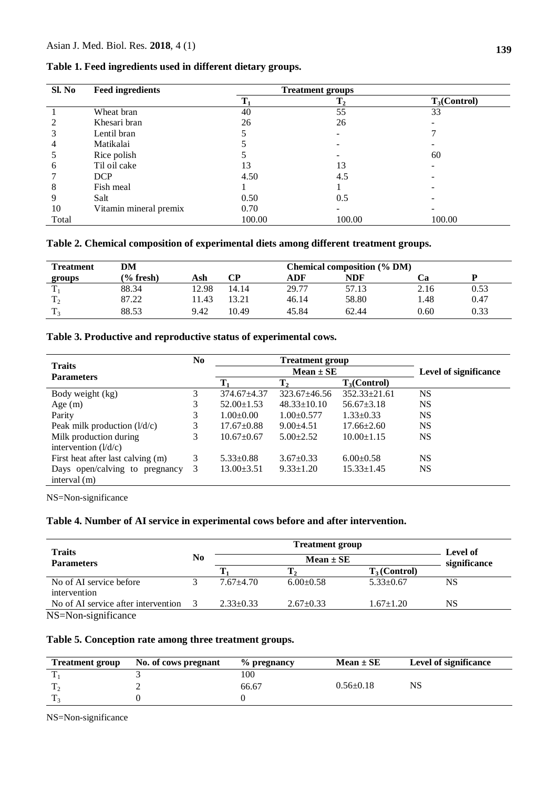| Table 1. Feed ingredients used in different dietary groups. |  |  |  |  |  |
|-------------------------------------------------------------|--|--|--|--|--|
|-------------------------------------------------------------|--|--|--|--|--|

| Sl. No | <b>Feed ingredients</b> | <b>Treatment groups</b> |        |                 |
|--------|-------------------------|-------------------------|--------|-----------------|
|        |                         |                         | L۰     | $T_3$ (Control) |
|        | Wheat bran              | 40                      | 55     | 33              |
|        | Khesari bran            | 26                      | 26     |                 |
|        | Lentil bran             |                         |        |                 |
|        | Matikalai               |                         |        |                 |
|        | Rice polish             |                         |        | 60              |
| 6      | Til oil cake            | 13                      | 13     |                 |
|        | <b>DCP</b>              | 4.50                    | 4.5    |                 |
| 8      | Fish meal               |                         |        |                 |
| 9      | Salt                    | 0.50                    | 0.5    |                 |
| 10     | Vitamin mineral premix  | 0.70                    |        |                 |
| Total  |                         | 100.00                  | 100.00 | 100.00          |

**Table 2. Chemical composition of experimental diets among different treatment groups.**

| <b>Treatment</b>  | DΜ<br>Chemical composition (% DM) |       |       |       |       |      |      |
|-------------------|-----------------------------------|-------|-------|-------|-------|------|------|
| groups            | (% fresh)                         | Ash   | CР    | ADF   | NDF   | Cа   |      |
| m                 | 88.34                             | 12.98 | 14.14 | 29.77 | 57.13 | 2.16 | 0.53 |
| m<br>$\mathbf{1}$ | 87.22                             | 11.43 | 13.21 | 46.14 | 58.80 | 1.48 | 0.47 |
| m                 | 88.53                             | 9.42  | 10.49 | 45.84 | 62.44 | 0.60 | 0.33 |

# **Table 3. Productive and reproductive status of experimental cows.**

| <b>Traits</b>                     | No | <b>Treatment group</b> |                    |                              |           |
|-----------------------------------|----|------------------------|--------------------|------------------------------|-----------|
| <b>Parameters</b>                 |    |                        | $Mean \pm SE$      | <b>Level of significance</b> |           |
|                                   |    | $\mathbf{T}_1$         | $\mathbf{T}_2$     | $T_3$ (Control)              |           |
| Body weight (kg)                  | 3  | $374.67 \pm 4.37$      | $323.67 \pm 46.56$ | $352.33 \pm 21.61$           | <b>NS</b> |
| Age $(m)$                         | 3  | $52.00 \pm 1.53$       | $48.33 \pm 10.10$  | $56.67 + 3.18$               | <b>NS</b> |
| Parity                            | 3  | $1.00 \pm 0.00$        | $1.00 \pm 0.577$   | $1.33 \pm 0.33$              | <b>NS</b> |
| Peak milk production $(l/d/c)$    | 3  | $17.67 \pm 0.88$       | $9.00 \pm 4.51$    | $17.66 \pm 2.60$             | <b>NS</b> |
| Milk production during            | 3  | $10.67 \pm 0.67$       | $5.00 \pm 2.52$    | $10.00 \pm 1.15$             | <b>NS</b> |
| intervention $(l/d/c)$            |    |                        |                    |                              |           |
| First heat after last calving (m) | 3  | $5.33 \pm 0.88$        | $3.67 \pm 0.33$    | $6.00 \pm 0.58$              | <b>NS</b> |
| Days open/calving to pregnancy    | 3  | $13.00 \pm 3.51$       | $9.33 \pm 1.20$    | $15.33 \pm 1.45$             | NS        |
| interval $(m)$                    |    |                        |                    |                              |           |

NS=Non-significance

# **Table 4. Number of AI service in experimental cows before and after intervention.**

| <b>Traits</b>                       |    |                 | <b>Level of</b> |                 |    |
|-------------------------------------|----|-----------------|-----------------|-----------------|----|
| <b>Parameters</b>                   | No |                 | significance    |                 |    |
|                                     |    |                 |                 | $T_3$ (Control) |    |
| No of AI service before             |    | $7.67 + 4.70$   | $6.00+0.58$     | $5.33 \pm 0.67$ | NS |
| intervention                        |    |                 |                 |                 |    |
| No of AI service after intervention |    | $2.33 \pm 0.33$ | $2.67 \pm 0.33$ | $1.67 \pm 1.20$ | NS |
| $NS-Non$ -significance              |    |                 |                 |                 |    |

NS=Non-significance

# **Table 5. Conception rate among three treatment groups.**

| <b>Treatment group</b> | No. of cows pregnant | $%$ pregnancy | $Mean \pm SE$   | <b>Level of significance</b> |
|------------------------|----------------------|---------------|-----------------|------------------------------|
|                        |                      | 100           |                 |                              |
|                        |                      | 66.67         | $0.56 \pm 0.18$ | NS                           |
|                        |                      |               |                 |                              |

NS=Non-significance